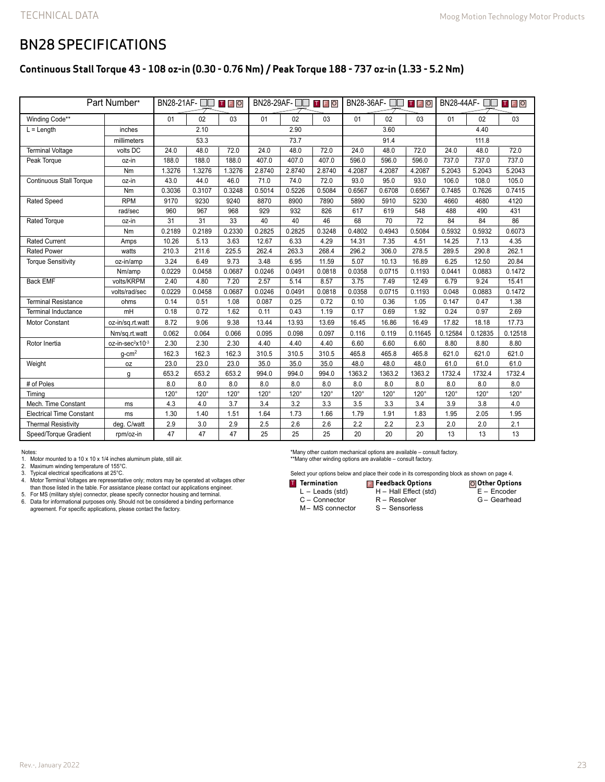## BN28 SPECIFICATIONS

### **Continuous Stall Torque 43 - 108 oz-in (0.30 - 0.76 Nm) / Peak Torque 188 - 737 oz-in (1.33 - 5.2 Nm)**

| Part Number*                    |                              | BN28-21AF-□□<br><b>TFO</b> |             |             | BN28-29AF-□<br>TFO |             |             | BN28-36AF-<br>T F O |             |             | BN28-44AF- □□ □ □ □ □ |             |             |
|---------------------------------|------------------------------|----------------------------|-------------|-------------|--------------------|-------------|-------------|---------------------|-------------|-------------|-----------------------|-------------|-------------|
| Winding Code**                  |                              | 01                         | 02          | 03          | 01                 | 02          | 03          | 01                  | 02          | 03          | 01                    | 02          | 03          |
| $L =$ Length                    | inches                       | 2.10                       |             |             | 2.90               |             |             | 3.60                |             |             | 4.40                  |             |             |
|                                 | millimeters                  | 53.3                       |             |             | 73.7               |             |             | 91.4                |             |             | 111.8                 |             |             |
| <b>Terminal Voltage</b>         | volts DC                     | 24.0                       | 48.0        | 72.0        | 24.0               | 48.0        | 72.0        | 24.0                | 48.0        | 72.0        | 24.0                  | 48.0        | 72.0        |
| Peak Torque                     | oz-in                        | 188.0                      | 188.0       | 188.0       | 407.0              | 407.0       | 407.0       | 596.0               | 596.0       | 596.0       | 737.0                 | 737.0       | 737.0       |
|                                 | Nm                           | 1.3276                     | 1.3276      | 1.3276      | 2.8740             | 2.8740      | 2.8740      | 4.2087              | 4.2087      | 4.2087      | 5.2043                | 5.2043      | 5.2043      |
| <b>Continuous Stall Torque</b>  | oz-in                        | 43.0                       | 44.0        | 46.0        | 71.0               | 74.0        | 72.0        | 93.0                | 95.0        | 93.0        | 106.0                 | 108.0       | 105.0       |
|                                 | Nm                           | 0.3036                     | 0.3107      | 0.3248      | 0.5014             | 0.5226      | 0.5084      | 0.6567              | 0.6708      | 0.6567      | 0.7485                | 0.7626      | 0.7415      |
| <b>Rated Speed</b>              | <b>RPM</b>                   | 9170                       | 9230        | 9240        | 8870               | 8900        | 7890        | 5890                | 5910        | 5230        | 4660                  | 4680        | 4120        |
|                                 | rad/sec                      | 960                        | 967         | 968         | 929                | 932         | 826         | 617                 | 619         | 548         | 488                   | 490         | 431         |
| <b>Rated Torque</b>             | oz-in                        | 31                         | 31          | 33          | 40                 | 40          | 46          | 68                  | 70          | 72          | 84                    | 84          | 86          |
|                                 | Nm                           | 0.2189                     | 0.2189      | 0.2330      | 0.2825             | 0.2825      | 0.3248      | 0.4802              | 0.4943      | 0.5084      | 0.5932                | 0.5932      | 0.6073      |
| <b>Rated Current</b>            | Amps                         | 10.26                      | 5.13        | 3.63        | 12.67              | 6.33        | 4.29        | 14.31               | 7.35        | 4.51        | 14.25                 | 7.13        | 4.35        |
| <b>Rated Power</b>              | watts                        | 210.3                      | 211.6       | 225.5       | 262.4              | 263.3       | 268.4       | 296.2               | 306.0       | 278.5       | 289.5                 | 290.8       | 262.1       |
| <b>Torque Sensitivity</b>       | oz-in/amp                    | 3.24                       | 6.49        | 9.73        | 3.48               | 6.95        | 11.59       | 5.07                | 10.13       | 16.89       | 6.25                  | 12.50       | 20.84       |
|                                 | Nm/amp                       | 0.0229                     | 0.0458      | 0.0687      | 0.0246             | 0.0491      | 0.0818      | 0.0358              | 0.0715      | 0.1193      | 0.0441                | 0.0883      | 0.1472      |
| <b>Back EMF</b>                 | volts/KRPM                   | 2.40                       | 4.80        | 7.20        | 2.57               | 5.14        | 8.57        | 3.75                | 7.49        | 12.49       | 6.79                  | 9.24        | 15.41       |
|                                 | volts/rad/sec                | 0.0229                     | 0.0458      | 0.0687      | 0.0246             | 0.0491      | 0.0818      | 0.0358              | 0.0715      | 0.1193      | 0.048                 | 0.0883      | 0.1472      |
| <b>Terminal Resistance</b>      | ohms                         | 0.14                       | 0.51        | 1.08        | 0.087              | 0.25        | 0.72        | 0.10                | 0.36        | 1.05        | 0.147                 | 0.47        | 1.38        |
| <b>Terminal Inductance</b>      | mH                           | 0.18                       | 0.72        | 1.62        | 0.11               | 0.43        | 1.19        | 0.17                | 0.69        | 1.92        | 0.24                  | 0.97        | 2.69        |
| Motor Constant                  | oz-in/sq.rt.watt             | 8.72                       | 9.06        | 9.38        | 13.44              | 13.93       | 13.69       | 16.45               | 16.86       | 16.49       | 17.82                 | 18.18       | 17.73       |
|                                 | Nm/sq.rt.watt                | 0.062                      | 0.064       | 0.066       | 0.095              | 0.098       | 0.097       | 0.116               | 0.119       | 0.11645     | 0.12584               | 0.12835     | 0.12518     |
| Rotor Inertia                   | oz-in-sec <sup>2</sup> x10-3 | 2.30                       | 2.30        | 2.30        | 4.40               | 4.40        | 4.40        | 6.60                | 6.60        | 6.60        | 8.80                  | 8.80        | 8.80        |
|                                 | $g$ -cm <sup>2</sup>         | 162.3                      | 162.3       | 162.3       | 310.5              | 310.5       | 310.5       | 465.8               | 465.8       | 465.8       | 621.0                 | 621.0       | 621.0       |
| Weight                          | 0Z                           | 23.0                       | 23.0        | 23.0        | 35.0               | 35.0        | 35.0        | 48.0                | 48.0        | 48.0        | 61.0                  | 61.0        | 61.0        |
|                                 | g                            | 653.2                      | 653.2       | 653.2       | 994.0              | 994.0       | 994.0       | 1363.2              | 1363.2      | 1363.2      | 1732.4                | 1732.4      | 1732.4      |
| # of Poles                      |                              | 8.0                        | 8.0         | 8.0         | 8.0                | 8.0         | 8.0         | 8.0                 | 8.0         | 8.0         | 8.0                   | 8.0         | 8.0         |
| Timina                          |                              | $120^\circ$                | $120^\circ$ | $120^\circ$ | $120^\circ$        | $120^\circ$ | $120^\circ$ | $120^\circ$         | $120^\circ$ | $120^\circ$ | $120^\circ$           | $120^\circ$ | $120^\circ$ |
| Mech. Time Constant             | ms                           | 4.3                        | 4.0         | 3.7         | 3.4                | 3.2         | 3.3         | 3.5                 | 3.3         | 3.4         | 3.9                   | 3.8         | 4.0         |
| <b>Electrical Time Constant</b> | ms                           | 1.30                       | 1.40        | 1.51        | 1.64               | 1.73        | 1.66        | 1.79                | 1.91        | 1.83        | 1.95                  | 2.05        | 1.95        |
| <b>Thermal Resistivity</b>      | deg. C/watt                  | 2.9                        | 3.0         | 2.9         | 2.5                | 2.6         | 2.6         | 2.2                 | 2.2         | 2.3         | 2.0                   | 2.0         | 2.1         |
| Speed/Torque Gradient           | rpm/oz-in                    | 47                         | 47          | 47          | 25                 | 25          | 25          | 20                  | 20          | 20          | 13                    | 13          | 13          |

Notes:

1. Motor mounted to a 10 x 10 x 1/4 inches aluminum plate, still air.

2. Maximum winding temperature of 155°C.

3. Typical electrical specifications at 25°C.

4. Motor Terminal Voltages are representative only; motors may be operated at voltages other than those listed in the table. For assistance please contact our applications engineer.

5. For MS (military style) connector, please specify connector housing and terminal.<br>6. Data for informational purposes only. Should not be considered a binding performance<br>agreement. For specific applications, please

\*Many other custom mechanical options are available – consult factory. \*\*Many other winding options are available – consult factory.

Select your options below and place their code in its corresponding block as shown on page 4.

R – Resolver S – Sensorless

**Termination Feedback Options** T F O

- L Leads (std)
- C Connector
- M– MS connector

**Other Options** E – Encoder H – Hall Effect (std)

G – Gearhead

Rev.-, January 2022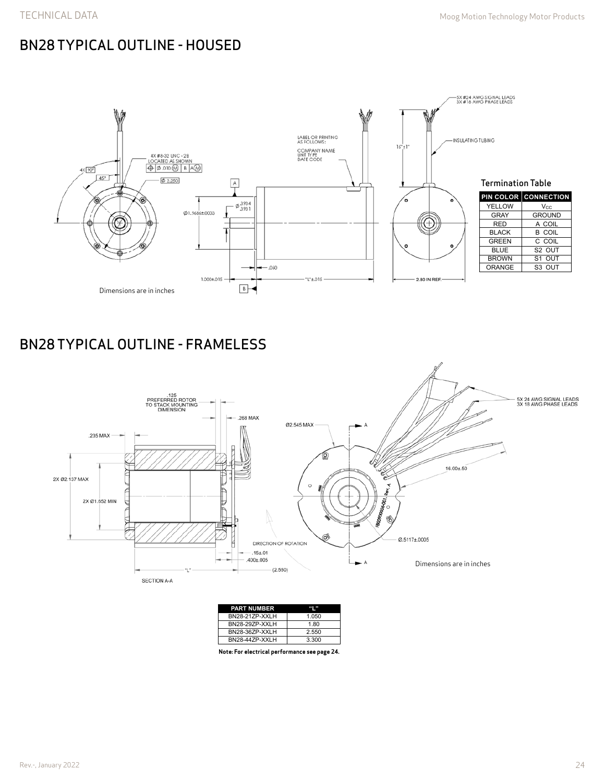# BN28 TYPICAL OUTLINE - HOUSED



# BN28 TYPICAL OUTLINE - FRAMELESS



| <b>PART NUMBER</b>    |       |
|-----------------------|-------|
| <b>BN28-21ZP-XXLH</b> | 1.050 |
| <b>BN28-29ZP-XXLH</b> | 1.80  |
| BN28-36ZP-XXLH        | 2.550 |
| BN28-44ZP-XXLH        | 3.300 |

**Note: For electrical performance see page 24.**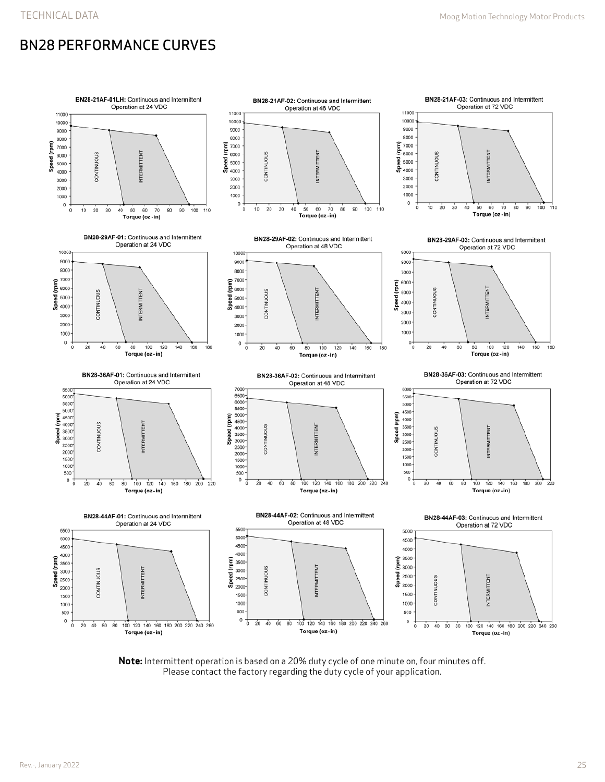# BN28 PERFORMANCE CURVES



**Note:** Intermittent operation is based on a 20% duty cycle of one minute on, four minutes off. Please contact the factory regarding the duty cycle of your application.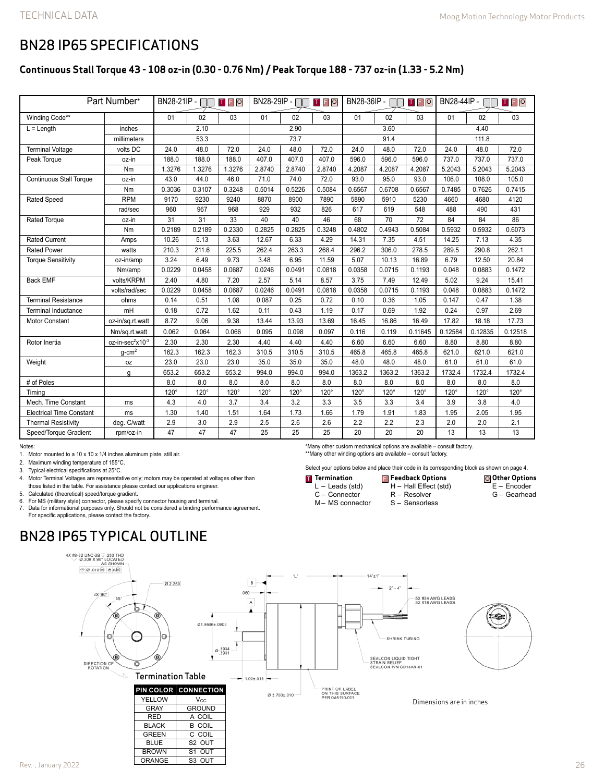**Other Options** E – Encoder G – Gearhead

### BN28 IP65 SPECIFICATIONS

### **Continuous Stall Torque 43 - 108 oz-in (0.30 - 0.76 Nm) / Peak Torque 188 - 737 oz-in (1.33 - 5.2 Nm)**

| Part Number*                    |                              | BN28-21IP - □□<br><b>TFO</b> |                 |        | BN28-29IP - II<br>TFO |        |        | $BN28-36IP - \Box$<br><b>TFO</b> |                 |                 | BN28-44IP - □<br><b>TFO</b> |         |         |
|---------------------------------|------------------------------|------------------------------|-----------------|--------|-----------------------|--------|--------|----------------------------------|-----------------|-----------------|-----------------------------|---------|---------|
| Winding Code**                  |                              | 01                           | 02              | 03     | 01                    | 02     | 03     | 01                               | 02              | 03              | 01                          | 02      | 03      |
| $L =$ Length                    | inches                       |                              | 2.10            |        | 2.90                  |        |        | 3.60                             |                 |                 | 4.40                        |         |         |
|                                 | millimeters                  | 53.3                         |                 |        | 73.7                  |        |        | 91.4                             |                 |                 | 111.8                       |         |         |
| <b>Terminal Voltage</b>         | volts DC                     | 24.0                         | 48.0            | 72.0   | 24.0                  | 48.0   | 72.0   | 24.0                             | 48.0            | 72.0            | 24.0                        | 48.0    | 72.0    |
| Peak Torque                     | oz-in                        | 188.0                        | 188.0           | 188.0  | 407.0                 | 407.0  | 407.0  | 596.0                            | 596.0           | 596.0           | 737.0                       | 737.0   | 737.0   |
|                                 | Nm                           | 1.3276                       | 1.3276          | 1.3276 | 2.8740                | 2.8740 | 2.8740 | 4.2087                           | 4.2087          | 4.2087          | 5.2043                      | 5.2043  | 5.2043  |
| <b>Continuous Stall Torque</b>  | oz-in                        | 43.0                         | 44.0            | 46.0   | 71.0                  | 74.0   | 72.0   | 93.0                             | 95.0            | 93.0            | 106.0                       | 108.0   | 105.0   |
|                                 | Nm                           | 0.3036                       | 0.3107          | 0.3248 | 0.5014                | 0.5226 | 0.5084 | 0.6567                           | 0.6708          | 0.6567          | 0.7485                      | 0.7626  | 0.7415  |
| <b>Rated Speed</b>              | <b>RPM</b>                   | 9170                         | 9230            | 9240   | 8870                  | 8900   | 7890   | 5890                             | 5910            | 5230            | 4660                        | 4680    | 4120    |
|                                 | rad/sec                      | 960                          | 967             | 968    | 929                   | 932    | 826    | 617                              | 619             | 548             | 488                         | 490     | 431     |
| <b>Rated Torque</b>             | oz-in                        | $\overline{31}$              | $\overline{31}$ | 33     | 40                    | 40     | 46     | 68                               | $\overline{70}$ | $\overline{72}$ | 84                          | 84      | 86      |
|                                 | Nm                           | 0.2189                       | 0.2189          | 0.2330 | 0.2825                | 0.2825 | 0.3248 | 0.4802                           | 0.4943          | 0.5084          | 0.5932                      | 0.5932  | 0.6073  |
| <b>Rated Current</b>            | Amps                         | 10.26                        | 5.13            | 3.63   | 12.67                 | 6.33   | 4.29   | 14.31                            | 7.35            | 4.51            | 14.25                       | 7.13    | 4.35    |
| <b>Rated Power</b>              | watts                        | 210.3                        | 211.6           | 225.5  | 262.4                 | 263.3  | 268.4  | 296.2                            | 306.0           | 278.5           | 289.5                       | 290.8   | 262.1   |
| <b>Torque Sensitivity</b>       | oz-in/amp                    | 3.24                         | 6.49            | 9.73   | 3.48                  | 6.95   | 11.59  | 5.07                             | 10.13           | 16.89           | 6.79                        | 12.50   | 20.84   |
|                                 | Nm/amp                       | 0.0229                       | 0.0458          | 0.0687 | 0.0246                | 0.0491 | 0.0818 | 0.0358                           | 0.0715          | 0.1193          | 0.048                       | 0.0883  | 0.1472  |
| <b>Back EMF</b>                 | volts/KRPM                   | 2.40                         | 4.80            | 7.20   | 2.57                  | 5.14   | 8.57   | 3.75                             | 7.49            | 12.49           | 5.02                        | 9.24    | 15.41   |
|                                 | volts/rad/sec                | 0.0229                       | 0.0458          | 0.0687 | 0.0246                | 0.0491 | 0.0818 | 0.0358                           | 0.0715          | 0.1193          | 0.048                       | 0.0883  | 0.1472  |
| <b>Terminal Resistance</b>      | ohms                         | 0.14                         | 0.51            | 1.08   | 0.087                 | 0.25   | 0.72   | 0.10                             | 0.36            | 1.05            | 0.147                       | 0.47    | 1.38    |
| <b>Terminal Inductance</b>      | mH                           | 0.18                         | 0.72            | 1.62   | 0.11                  | 0.43   | 1.19   | 0.17                             | 0.69            | 1.92            | 0.24                        | 0.97    | 2.69    |
| <b>Motor Constant</b>           | oz-in/sq.rt.watt             | 8.72                         | 9.06            | 9.38   | 13.44                 | 13.93  | 13.69  | 16.45                            | 16.86           | 16.49           | 17.82                       | 18.18   | 17.73   |
|                                 | Nm/sq.rt.watt                | 0.062                        | 0.064           | 0.066  | 0.095                 | 0.098  | 0.097  | 0.116                            | 0.119           | 0.11645         | 0.12584                     | 0.12835 | 0.12518 |
| Rotor Inertia                   | oz-in-sec <sup>2</sup> x10-3 | 2.30                         | 2.30            | 2.30   | 4.40                  | 4.40   | 4.40   | 6.60                             | 6.60            | 6.60            | 8.80                        | 8.80    | 8.80    |
|                                 | $g$ -cm <sup>2</sup>         | 162.3                        | 162.3           | 162.3  | 310.5                 | 310.5  | 310.5  | 465.8                            | 465.8           | 465.8           | 621.0                       | 621.0   | 621.0   |
| Weight                          | 0Z                           | 23.0                         | 23.0            | 23.0   | 35.0                  | 35.0   | 35.0   | 48.0                             | 48.0            | 48.0            | 61.0                        | 61.0    | 61.0    |
|                                 | g                            | 653.2                        | 653.2           | 653.2  | 994.0                 | 994.0  | 994.0  | 1363.2                           | 1363.2          | 1363.2          | 1732.4                      | 1732.4  | 1732.4  |
| # of Poles                      |                              | 8.0                          | 8.0             | 8.0    | 8.0                   | 8.0    | 8.0    | 8.0                              | 8.0             | 8.0             | 8.0                         | 8.0     | 8.0     |
| Timing                          |                              | 120°                         | 120°            | 120°   | 120°                  | 120°   | 120°   | $120^\circ$                      | 120°            | $120^\circ$     | 120°                        | 120°    | 120°    |
| Mech. Time Constant             | ms                           | 4.3                          | 4.0             | 3.7    | 3.4                   | 3.2    | 3.3    | 3.5                              | 3.3             | 3.4             | 3.9                         | 3.8     | 4.0     |
| <b>Electrical Time Constant</b> | ms                           | 1.30                         | 1.40            | 1.51   | 1.64                  | 1.73   | 1.66   | 1.79                             | 1.91            | 1.83            | 1.95                        | 2.05    | 1.95    |
| <b>Thermal Resistivity</b>      | deg. C/watt                  | 2.9                          | 3.0             | 2.9    | 2.5                   | 2.6    | 2.6    | 2.2                              | 2.2             | 2.3             | 2.0                         | 2.0     | 2.1     |
| Speed/Torque Gradient           | rpm/oz-in                    | 47                           | 47              | 47     | 25                    | 25     | 25     | 20                               | 20              | 20              | 13                          | 13      | 13      |

Notes:

1. Motor mounted to a 10 x 10 x 1/4 inches aluminum plate, still air.

2. Maximum winding temperature of 155°C.

3. Typical electrical specifications at 25°C.

4. Motor Terminal Voltages are representative only; motors may be operated at voltages other than those listed in the table. For assistance please contact our applications engineer.

5. Calculated (theoretical) speed/torque gradient.

6. For MS (military style) connector, please specify connector housing and terminal. Data for informational purposes only. Should not be considered a binding performance agreement. For specific applications, please contact the factory.

S1 OUT

ORANGE | S3 OUT

## BN28 IP65 TYPICAL OUTLINE



**Termination** L – Leads (std) C – Connector M– MS connector

\*Many other custom mechanical options are available – consult factory. \*\*Many other winding options are available – consult factory.

**Feedback Options** T F O

Select your options below and place their code in its corresponding block as shown on page 4.

H – Hall Effect (std) R – Resolver S – Sensorless